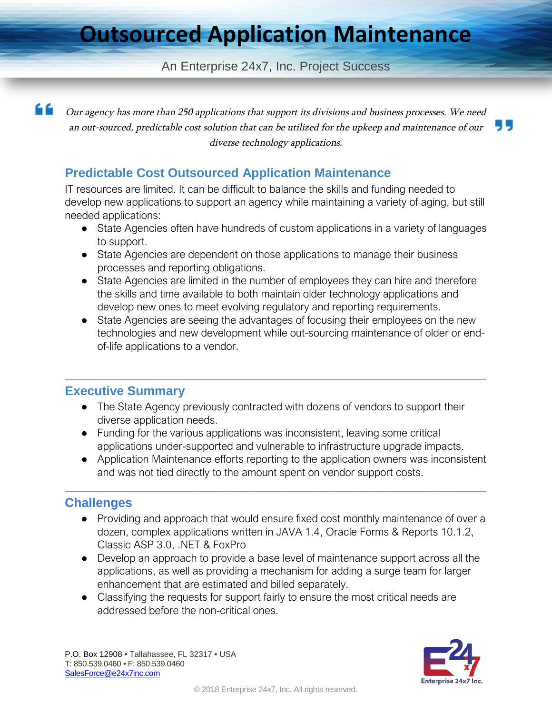# **Outsourced Application Maintenance**

#### An Enterprise 24x7, Inc. Project Success

66

Our agency has more than <sup>250</sup> applications that support its divisions and business processes. We need an out-sourced, predictable cost solution that can be utilized for the upkeep and maintenance of our diverse technology applications.

### **Predictable Cost Outsourced Application Maintenance**

IT resources are limited. It can be difficult to balance the skills and funding needed to develop new applications to support an agency while maintaining a variety of aging, but still needed applications:

- State Agencies often have hundreds of custom applications in a variety of languages to support.
- State Agencies are dependent on those applications to manage their business processes and reporting obligations.
- State Agencies are limited in the number of employees they can hire and therefore the skills and time available to both maintain older technology applications and develop new ones to meet evolving regulatory and reporting requirements.
- State Agencies are seeing the advantages of focusing their employees on the new technologies and new development while out-sourcing maintenance of older or endof-life applications to a vendor.

#### **Executive Summary**

• The State Agency previously contracted with dozens of vendors to support their diverse application needs.

**\_\_\_\_\_\_\_\_\_\_\_\_\_\_\_\_\_\_\_\_\_\_\_\_\_\_\_\_\_\_\_\_\_\_\_\_\_\_\_\_\_\_\_\_\_\_\_\_\_\_\_\_\_\_\_\_\_\_\_\_**

● Funding for the various applications was inconsistent, leaving some critical applications under-supported and vulnerable to infrastructure upgrade impacts.

**\_\_\_\_\_\_\_\_\_\_\_\_\_\_\_\_\_\_\_\_\_\_\_\_\_\_\_\_\_\_\_\_\_\_\_\_\_\_\_\_\_\_\_\_\_\_\_\_\_\_\_\_\_\_\_\_\_\_\_\_**

● Application Maintenance efforts reporting to the application owners was inconsistent and was not tied directly to the amount spent on vendor support costs.

### **Challenges**

- Providing and approach that would ensure fixed cost monthly maintenance of over a dozen, complex applications written in JAVA 1.4, Oracle Forms & Reports 10.1.2, Classic ASP 3.0, .NET & FoxPro
- Develop an approach to provide a base level of maintenance support across all the applications, as well as providing a mechanism for adding a surge team for larger enhancement that are estimated and billed separately.
- Classifying the requests for support fairly to ensure the most critical needs are addressed before the non-critical ones.

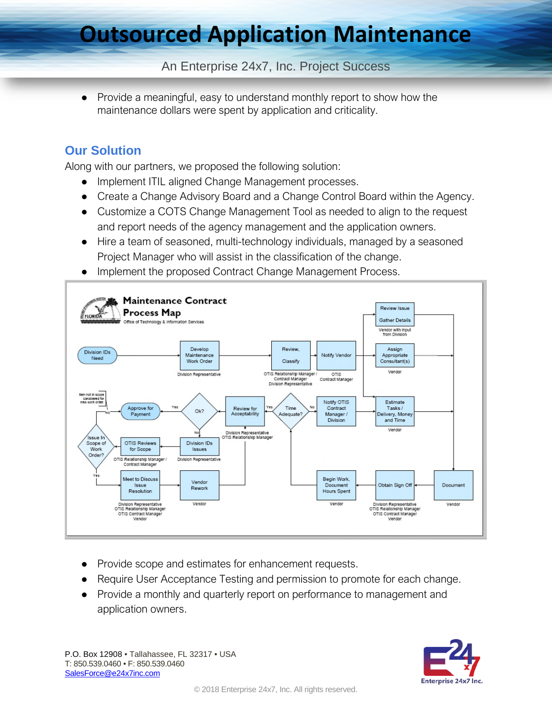# **Outsourced Application Maintenance**

### An Enterprise 24x7, Inc. Project Success

Provide a meaningful, easy to understand monthly report to show how the maintenance dollars were spent by application and criticality.

### **Our Solution**

Along with our partners, we proposed the following solution:

- Implement ITIL aligned Change Management processes.
- Create a Change Advisory Board and a Change Control Board within the Agency.
- Customize a COTS Change Management Tool as needed to align to the request and report needs of the agency management and the application owners.
- Hire a team of seasoned, multi-technology individuals, managed by a seasoned Project Manager who will assist in the classification of the change.
- Implement the proposed Contract Change Management Process.



- Provide scope and estimates for enhancement requests.
- Require User Acceptance Testing and permission to promote for each change.
- Provide a monthly and quarterly report on performance to management and application owners.

P.O. Box 12908 • Tallahassee, FL 32317 • USA T: 850.539.0460 • F: 850.539.0460 SalesForce@e24x7inc.com